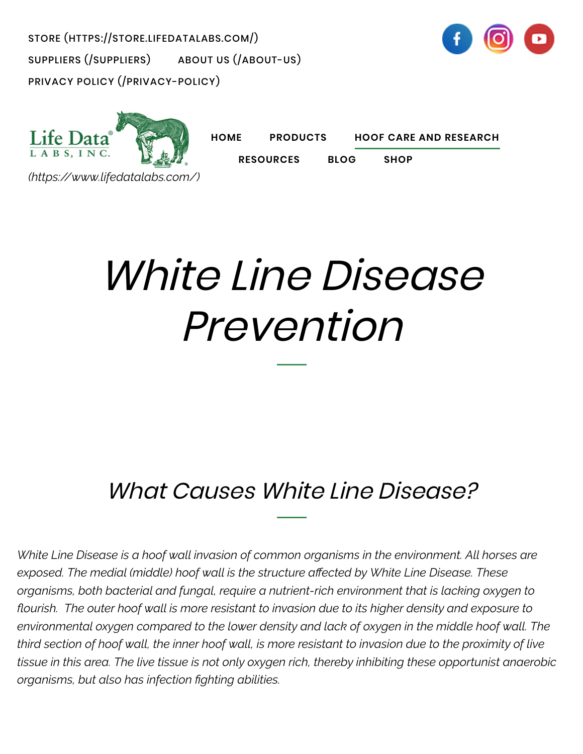[STORE \(HTTPS://STORE.LIFEDATALABS.COM/\)](https://store.lifedatalabs.com/) [SUPPLIERS \(/SUPPLIERS\)](https://www.lifedatalabs.com/suppliers) [ABOUT US \(/ABOUT-US\)](https://www.lifedatalabs.com/about-us) [PRIVACY POLICY \(/PRIVACY-POLICY\)](https://www.lifedatalabs.com/privacy-policy)





**[HOME](https://www.lifedatalabs.com/) [PRODUCTS](https://www.lifedatalabs.com/products/all-life-data-products) [HOOF CARE AND RESEARCH](https://www.lifedatalabs.com/hoof-care-and-research/hoof-care-tips-and-anatomy)**

**[RESOURCES](https://www.lifedatalabs.com/resources/life-data-testimonials) [BLOG](https://www.lifedatalabs.com/blog) [SHOP](https://store.lifedatalabs.com/)**

*[\(https://www.lifedatalabs.com/\)](https://www.lifedatalabs.com/)*

# White Line Disease Prevention

#### What Causes White Line Disease?

*White Line Disease is a hoof wall invasion of common organisms in the environment. All horses are exposed. The medial (middle) hoof wall is the structure a!ected by White Line Disease. These organisms, both bacterial and fungal, require a nutrient-rich environment that is lacking oxygen to "ourish. The outer hoof wall is more resistant to invasion due to its higher density and exposure to environmental oxygen compared to the lower density and lack of oxygen in the middle hoof wall. The third section of hoof wall, the inner hoof wall, is more resistant to invasion due to the proximity of live tissue in this area. The live tissue is not only oxygen rich, thereby inhibiting these opportunist anaerobic organisms, but also has infection #ghting abilities.*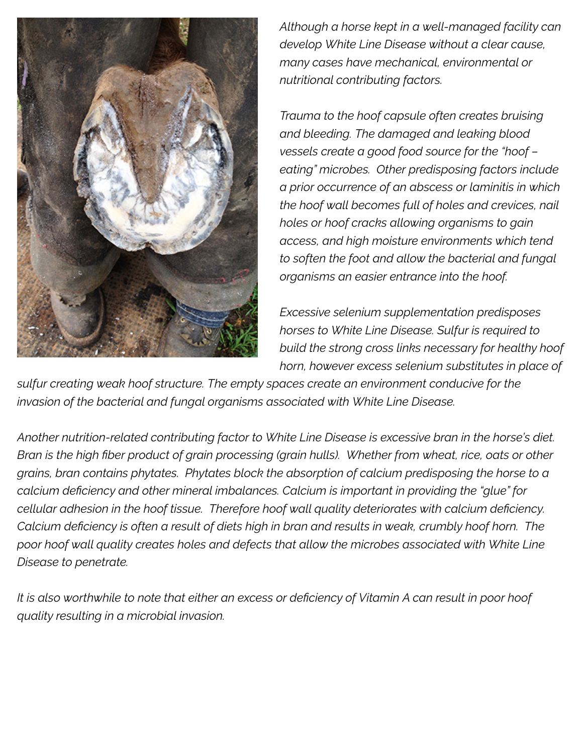

*Although a horse kept in a well-managed facility can develop White Line Disease without a clear cause, many cases have mechanical, environmental or nutritional contributing factors.*

*Trauma to the hoof capsule often creates bruising and bleeding. The damaged and leaking blood vessels create a good food source for the "hoof – eating" microbes. Other predisposing factors include a prior occurrence of an abscess or laminitis in which the hoof wall becomes full of holes and crevices, nail holes or hoof cracks allowing organisms to gain access, and high moisture environments which tend to soften the foot and allow the bacterial and fungal organisms an easier entrance into the hoof.*

*Excessive selenium supplementation predisposes horses to White Line Disease. Sulfur is required to build the strong cross links necessary for healthy hoof horn, however excess selenium substitutes in place of*

*sulfur creating weak hoof structure. The empty spaces create an environment conducive for the invasion of the bacterial and fungal organisms associated with White Line Disease.*

*Another nutrition-related contributing factor to White Line Disease is excessive bran in the horse's diet. Bran is the high #ber product of grain processing (grain hulls). Whether from wheat, rice, oats or other grains, bran contains phytates. Phytates block the absorption of calcium predisposing the horse to a calcium de#ciency and other mineral imbalances. Calcium is important in providing the "glue" for*  $cellular$  adhesion in the hoof tissue. Therefore hoof wall quality deteriorates with calcium deficiency. *Calcium de#ciency is often a result of diets high in bran and results in weak, crumbly hoof horn. The poor hoof wall quality creates holes and defects that allow the microbes associated with White Line Disease to penetrate.*

*It is also worthwhile to note that either an excess or de#ciency of Vitamin A can result in poor hoof quality resulting in a microbial invasion.*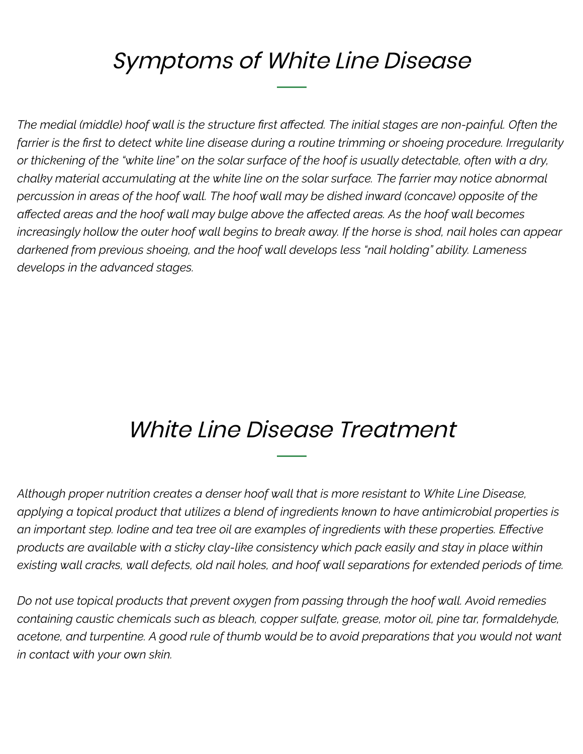### Symptoms of White Line Disease

*The medial (middle) hoof wall is the structure #rst a!ected. The initial stages are non-painful. Often the* farrier is the first to detect white line disease during a routine trimming or shoeing procedure. Irregularity *or thickening of the "white line" on the solar surface of the hoof is usually detectable, often with a dry, chalky material accumulating at the white line on the solar surface. The farrier may notice abnormal percussion in areas of the hoof wall. The hoof wall may be dished inward (concave) opposite of the a!ected areas and the hoof wall may bulge above the a!ected areas. As the hoof wall becomes increasingly hollow the outer hoof wall begins to break away. If the horse is shod, nail holes can appear darkened from previous shoeing, and the hoof wall develops less "nail holding" ability. Lameness develops in the advanced stages.*

#### White Line Disease Treatment

*Although proper nutrition creates a denser hoof wall that is more resistant to White Line Disease, applying a topical product that utilizes a blend of ingredients known to have antimicrobial properties is an important step. Iodine and tea tree oil are examples of ingredients with these properties. E!ective products are available with a sticky clay-like consistency which pack easily and stay in place within existing wall cracks, wall defects, old nail holes, and hoof wall separations for extended periods of time.*

*Do not use topical products that prevent oxygen from passing through the hoof wall. Avoid remedies containing caustic chemicals such as bleach, copper sulfate, grease, motor oil, pine tar, formaldehyde, acetone, and turpentine. A good rule of thumb would be to avoid preparations that you would not want in contact with your own skin.*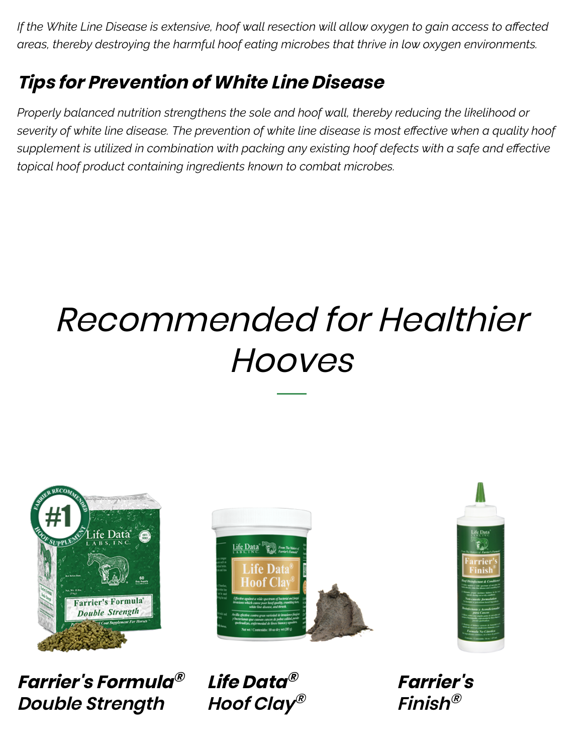*If the White Line Disease is extensive, hoof wall resection will allow oxygen to gain access to affected areas, thereby destroying the harmful hoof eating microbes that thrive in low oxygen environments.*

#### **Tips for Prevention of White Line Disease**

*Properly balanced nutrition strengthens the sole and hoof wall, thereby reducing the likelihood or severity of white line disease. The prevention of white line disease is most e!ective when a quality hoof supplement is utilized in combination with packing any existing hoof defects with a safe and effective topical hoof product containing ingredients known to combat microbes.*

## Recommended for Healthier **Hooves**



**Farrier's Formula Double Strength**



**® Life Data ® Hoof Clay ®**



**Farrier's Finish®**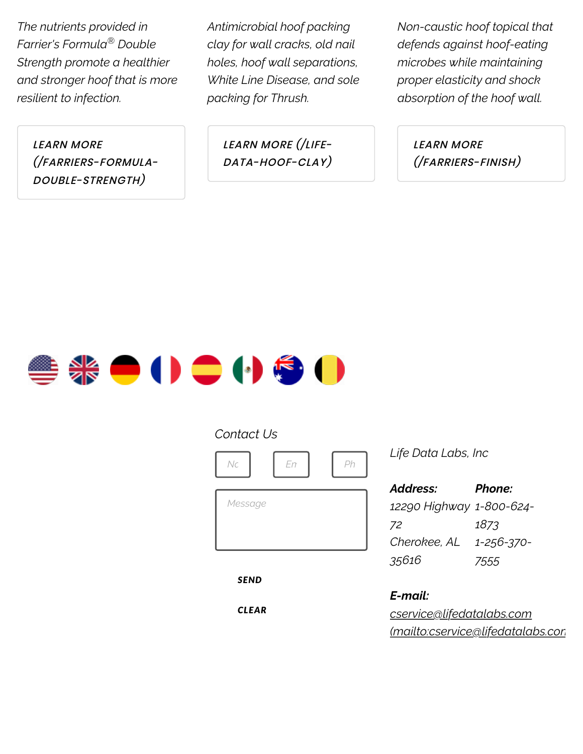*The nutrients provided in Farrier's Formula Double ® Strength promote a healthier and stronger hoof that is more resilient to infection.*

LEARN MORE [\(/FARRIERS-FORMULA-](https://www.lifedatalabs.com/farriers-formula-double-strength)DOUBLE-STRENGTH)

*Antimicrobial hoof packing clay for wall cracks, old nail holes, hoof wall separations, White Line Disease, and sole packing for Thrush.*

> LEARN MORE (/LIFE-[DATA-HOOF-CLAY\)](https://www.lifedatalabs.com/life-data-hoof-clay)

*Non-caustic hoof topical that defends against hoof-eating microbes while maintaining proper elasticity and shock absorption of the hoof wall.*

> LEARN MORE [\(/FARRIERS-FINISH\)](https://www.lifedatalabs.com/farriers-finish)



#### *Contact Us*



*SEND*

*CLEAR*

*Life Data Labs, Inc*

| Address:                 | Phone:     |
|--------------------------|------------|
| 12290 Highway 1-800-624- |            |
| 72                       | 1873       |
| Cherokee, AL             | 1-256-370- |
| 35616                    | 7555       |

*E-mail: cservice@lifedatalabs.com [\(mailto:cservice@lifedatalabs.com](mailto:cservice@lifedatalabs.com))*